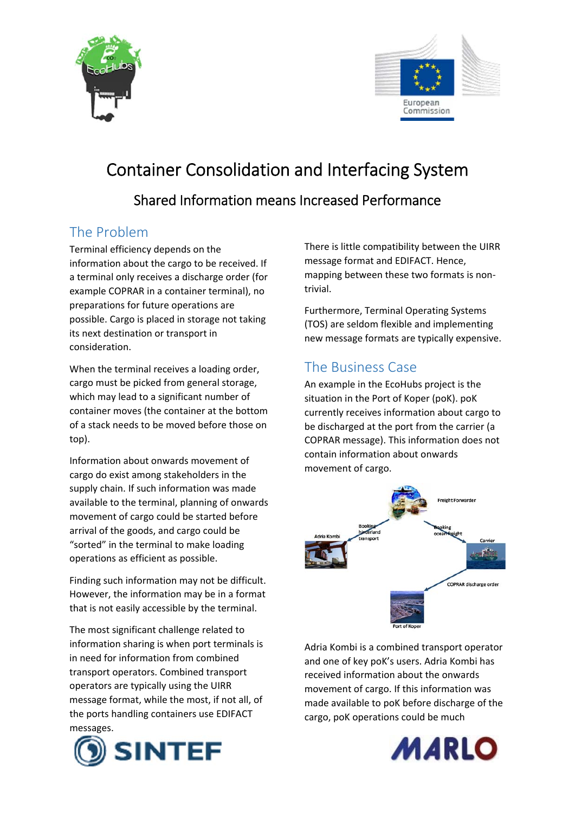



## Container Consolidation and Interfacing System Shared Information means Increased Performance

## The Problem

Terminal efficiency depends on the information about the cargo to be received. If a terminal only receives a discharge order (for example COPRAR in a container terminal), no preparations for future operations are possible. Cargo is placed in storage not taking its next destination or transport in consideration.

When the terminal receives a loading order, cargo must be picked from general storage, which may lead to a significant number of container moves (the container at the bottom of a stack needs to be moved before those on top).

Information about onwards movement of cargo do exist among stakeholders in the supply chain. If such information was made available to the terminal, planning of onwards movement of cargo could be started before arrival of the goods, and cargo could be "sorted" in the terminal to make loading operations as efficient as possible.

Finding such information may not be difficult. However, the information may be in a format that is not easily accessible by the terminal.

The most significant challenge related to information sharing is when port terminals is in need for information from combined transport operators. Combined transport operators are typically using the UIRR message format, while the most, if not all, of the ports handling containers use EDIFACT messages.



There is little compatibility between the UIRR message format and EDIFACT. Hence, mapping between these two formats is non‐ trivial.

Furthermore, Terminal Operating Systems (TOS) are seldom flexible and implementing new message formats are typically expensive.

## The Business Case

An example in the EcoHubs project is the situation in the Port of Koper (poK). poK currently receives information about cargo to be discharged at the port from the carrier (a COPRAR message). This information does not contain information about onwards movement of cargo.



Adria Kombi is a combined transport operator and one of key poK's users. Adria Kombi has received information about the onwards movement of cargo. If this information was made available to poK before discharge of the cargo, poK operations could be much